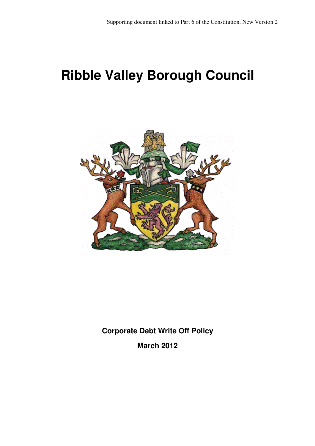# **Ribble Valley Borough Council**



**Corporate Debt Write Off Policy** 

**March 2012**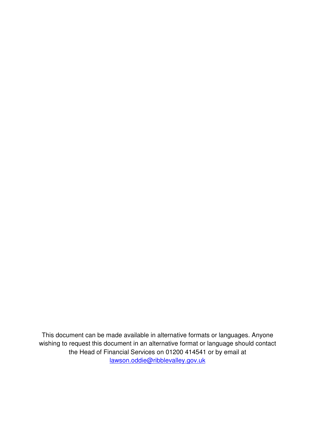This document can be made available in alternative formats or languages. Anyone wishing to request this document in an alternative format or language should contact the Head of Financial Services on 01200 414541 or by email at lawson.oddie@ribblevalley.gov.uk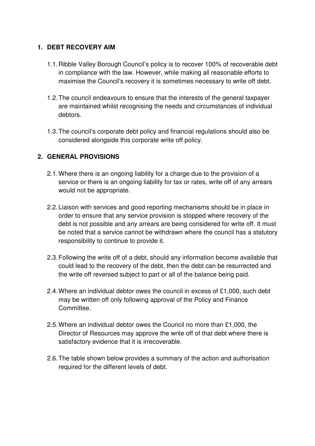#### **1. DEBT RECOVERY AIM**

- 1.1. Ribble Valley Borough Council's policy is to recover 100% of recoverable debt in compliance with the law. However, while making all reasonable efforts to maximise the Council's recovery it is sometimes necessary to write off debt.
- 1.2. The council endeavours to ensure that the interests of the general taxpayer are maintained whilst recognising the needs and circumstances of individual debtors.
- 1.3. The council's corporate debt policy and financial regulations should also be considered alongside this corporate write off policy.

## **2. GENERAL PROVISIONS**

- 2.1. Where there is an ongoing liability for a charge due to the provision of a service or there is an ongoing liability for tax or rates, write off of any arrears would not be appropriate.
- 2.2. Liaison with services and good reporting mechanisms should be in place in order to ensure that any service provision is stopped where recovery of the debt is not possible and any arrears are being considered for write off. It must be noted that a service cannot be withdrawn where the council has a statutory responsibility to continue to provide it.
- 2.3. Following the write off of a debt, should any information become available that could lead to the recovery of the debt, then the debt can be resurrected and the write off reversed subject to part or all of the balance being paid.
- 2.4. Where an individual debtor owes the council in excess of £1,000, such debt may be written off only following approval of the Policy and Finance Committee.
- 2.5. Where an individual debtor owes the Council no more than £1,000, the Director of Resources may approve the write off of that debt where there is satisfactory evidence that it is irrecoverable.
- 2.6. The table shown below provides a summary of the action and authorisation required for the different levels of debt.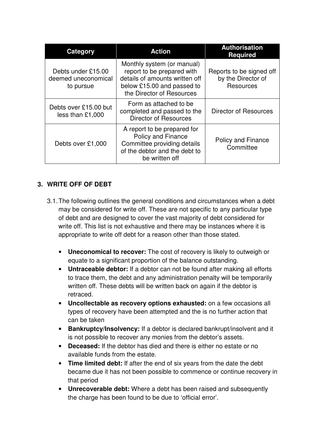| Category                                               | <b>Action</b>                                                                                                                                         | <b>Authorisation</b><br><b>Required</b>                     |
|--------------------------------------------------------|-------------------------------------------------------------------------------------------------------------------------------------------------------|-------------------------------------------------------------|
| Debts under £15.00<br>deemed uneconomical<br>to pursue | Monthly system (or manual)<br>report to be prepared with<br>details of amounts written off<br>below £15.00 and passed to<br>the Director of Resources | Reports to be signed off<br>by the Director of<br>Resources |
| Debts over £15.00 but<br>less than $£1,000$            | Form as attached to be<br>completed and passed to the<br><b>Director of Resources</b>                                                                 | <b>Director of Resources</b>                                |
| Debts over £1,000                                      | A report to be prepared for<br><b>Policy and Finance</b><br>Committee providing details<br>of the debtor and the debt to<br>be written off            | Policy and Finance<br>Committee                             |

## **3. WRITE OFF OF DEBT**

- 3.1. The following outlines the general conditions and circumstances when a debt may be considered for write off. These are not specific to any particular type of debt and are designed to cover the vast majority of debt considered for write off. This list is not exhaustive and there may be instances where it is appropriate to write off debt for a reason other than those stated.
	- **Uneconomical to recover:** The cost of recovery is likely to outweigh or equate to a significant proportion of the balance outstanding.
	- **Untraceable debtor:** If a debtor can not be found after making all efforts to trace them, the debt and any administration penalty will be temporarily written off. These debts will be written back on again if the debtor is retraced.
	- **Uncollectable as recovery options exhausted:** on a few occasions all types of recovery have been attempted and the is no further action that can be taken
	- **Bankruptcy/Insolvency:** If a debtor is declared bankrupt/insolvent and it is not possible to recover any monies from the debtor's assets.
	- **Deceased:** If the debtor has died and there is either no estate or no available funds from the estate.
	- **Time limited debt:** If after the end of six years from the date the debt became due it has not been possible to commence or continue recovery in that period
	- **Unrecoverable debt:** Where a debt has been raised and subsequently the charge has been found to be due to 'official error'.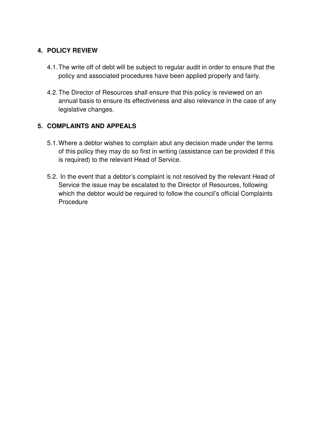#### **4. POLICY REVIEW**

- 4.1. The write off of debt will be subject to regular audit in order to ensure that the policy and associated procedures have been applied properly and fairly.
- 4.2. The Director of Resources shall ensure that this policy is reviewed on an annual basis to ensure its effectiveness and also relevance in the case of any legislative changes.

## **5. COMPLAINTS AND APPEALS**

- 5.1. Where a debtor wishes to complain abut any decision made under the terms of this policy they may do so first in writing (assistance can be provided if this is required) to the relevant Head of Service.
- 5.2. In the event that a debtor's complaint is not resolved by the relevant Head of Service the issue may be escalated to the Director of Resources, following which the debtor would be required to follow the council's official Complaints Procedure